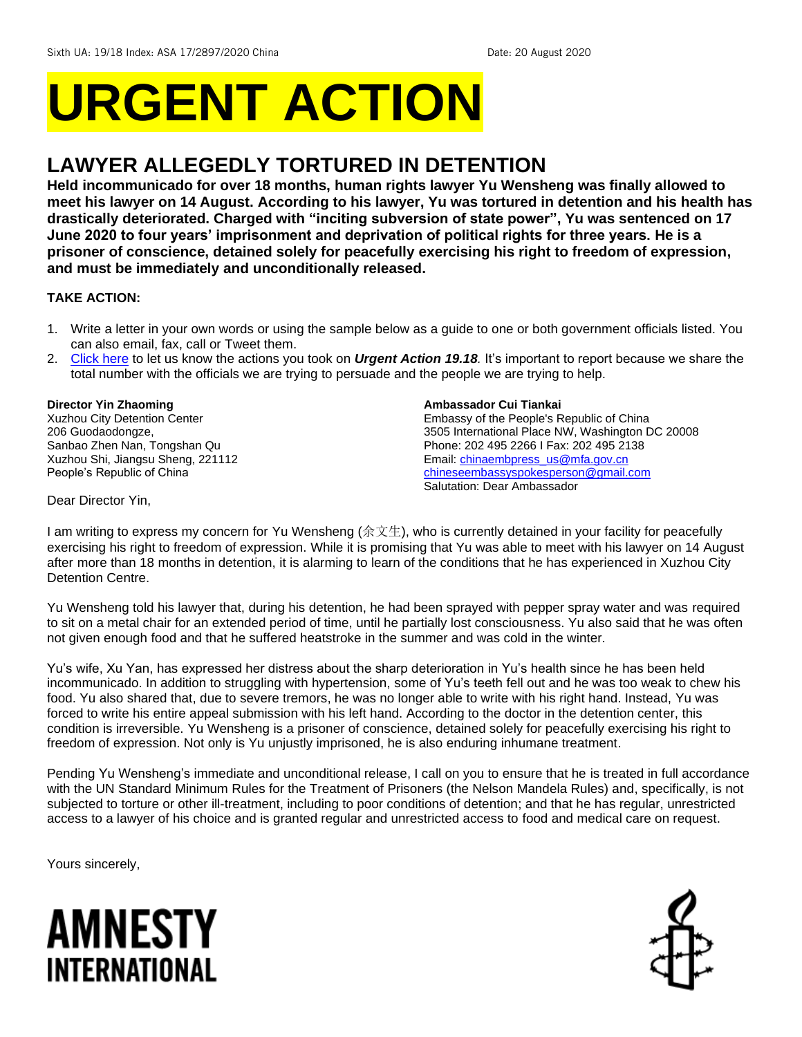# **URGENT ACTION**

## **LAWYER ALLEGEDLY TORTURED IN DETENTION**

**Held incommunicado for over 18 months, human rights lawyer Yu Wensheng was finally allowed to meet his lawyer on 14 August. According to his lawyer, Yu was tortured in detention and his health has drastically deteriorated. Charged with "inciting subversion of state power", Yu was sentenced on 17 June 2020 to four years' imprisonment and deprivation of political rights for three years. He is a prisoner of conscience, detained solely for peacefully exercising his right to freedom of expression, and must be immediately and unconditionally released.** 

#### **TAKE ACTION:**

- 1. Write a letter in your own words or using the sample below as a guide to one or both government officials listed. You can also email, fax, call or Tweet them.
- 2. [Click here](https://www.amnestyusa.org/report-urgent-actions/) to let us know the actions you took on *Urgent Action 19.18.* It's important to report because we share the total number with the officials we are trying to persuade and the people we are trying to help.

#### **Director Yin Zhaoming**

Xuzhou City Detention Center 206 Guodaodongze, Sanbao Zhen Nan, Tongshan Qu Xuzhou Shi, Jiangsu Sheng, 221112 People's Republic of China

#### **Ambassador Cui Tiankai**

Embassy of the People's Republic of China 3505 International Place NW, Washington DC 20008 Phone: 202 495 2266 I Fax: 202 495 2138 Email: [chinaembpress\\_us@mfa.gov.cn](mailto:chinaembpress_us@mfa.gov.cn) [chineseembassyspokesperson@gmail.com](mailto:chineseembassyspokesperson@gmail.com) Salutation: Dear Ambassador

Dear Director Yin,

I am writing to express my concern for Yu Wensheng (余文生), who is currently detained in your facility for peacefully exercising his right to freedom of expression. While it is promising that Yu was able to meet with his lawyer on 14 August after more than 18 months in detention, it is alarming to learn of the conditions that he has experienced in Xuzhou City Detention Centre.

Yu Wensheng told his lawyer that, during his detention, he had been sprayed with pepper spray water and was required to sit on a metal chair for an extended period of time, until he partially lost consciousness. Yu also said that he was often not given enough food and that he suffered heatstroke in the summer and was cold in the winter.

Yu's wife, Xu Yan, has expressed her distress about the sharp deterioration in Yu's health since he has been held incommunicado. In addition to struggling with hypertension, some of Yu's teeth fell out and he was too weak to chew his food. Yu also shared that, due to severe tremors, he was no longer able to write with his right hand. Instead, Yu was forced to write his entire appeal submission with his left hand. According to the doctor in the detention center, this condition is irreversible. Yu Wensheng is a prisoner of conscience, detained solely for peacefully exercising his right to freedom of expression. Not only is Yu unjustly imprisoned, he is also enduring inhumane treatment.

Pending Yu Wensheng's immediate and unconditional release, I call on you to ensure that he is treated in full accordance with the UN Standard Minimum Rules for the Treatment of Prisoners (the Nelson Mandela Rules) and, specifically, is not subjected to torture or other ill-treatment, including to poor conditions of detention; and that he has regular, unrestricted access to a lawyer of his choice and is granted regular and unrestricted access to food and medical care on request.

Yours sincerely,